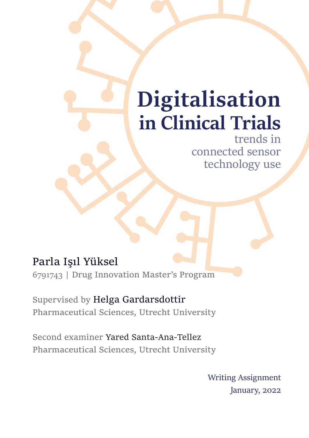# **Digitalisation in Clinical Trials**

trends in connected sensor technology use

#### Parla Işıl Yüksel

6791743 | Drug Innovation Master's Program

Supervised by Helga Gardarsdottir Pharmaceutical Sciences, Utrecht University

Second examiner Yared Santa-Ana-Tellez Pharmaceutical Sciences, Utrecht University

> Writing Assignment January, 2022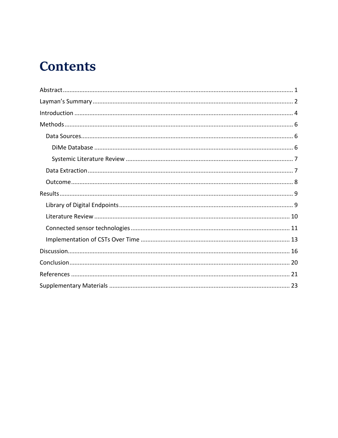### **Contents**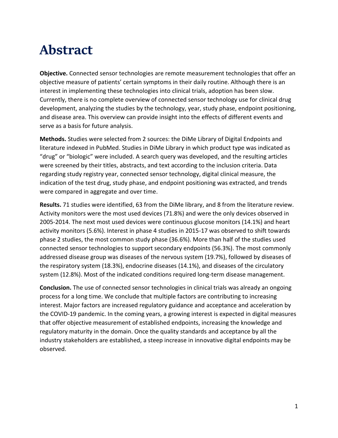### <span id="page-2-0"></span>**Abstract**

**Objective.** Connected sensor technologies are remote measurement technologies that offer an objective measure of patients' certain symptoms in their daily routine. Although there is an interest in implementing these technologies into clinical trials, adoption has been slow. Currently, there is no complete overview of connected sensor technology use for clinical drug development, analyzing the studies by the technology, year, study phase, endpoint positioning, and disease area. This overview can provide insight into the effects of different events and serve as a basis for future analysis.

**Methods.** Studies were selected from 2 sources: the DiMe Library of Digital Endpoints and literature indexed in PubMed. Studies in DiMe Library in which product type was indicated as "drug" or "biologic" were included. A search query was developed, and the resulting articles were screened by their titles, abstracts, and text according to the inclusion criteria. Data regarding study registry year, connected sensor technology, digital clinical measure, the indication of the test drug, study phase, and endpoint positioning was extracted, and trends were compared in aggregate and over time.

**Results.** 71 studies were identified, 63 from the DiMe library, and 8 from the literature review. Activity monitors were the most used devices (71.8%) and were the only devices observed in 2005-2014. The next most used devices were continuous glucose monitors (14.1%) and heart activity monitors (5.6%). Interest in phase 4 studies in 2015-17 was observed to shift towards phase 2 studies, the most common study phase (36.6%). More than half of the studies used connected sensor technologies to support secondary endpoints (56.3%). The most commonly addressed disease group was diseases of the nervous system (19.7%), followed by diseases of the respiratory system (18.3%), endocrine diseases (14.1%), and diseases of the circulatory system (12.8%). Most of the indicated conditions required long-term disease management.

**Conclusion.** The use of connected sensor technologies in clinical trials was already an ongoing process for a long time. We conclude that multiple factors are contributing to increasing interest. Major factors are increased regulatory guidance and acceptance and acceleration by the COVID-19 pandemic. In the coming years, a growing interest is expected in digital measures that offer objective measurement of established endpoints, increasing the knowledge and regulatory maturity in the domain. Once the quality standards and acceptance by all the industry stakeholders are established, a steep increase in innovative digital endpoints may be observed.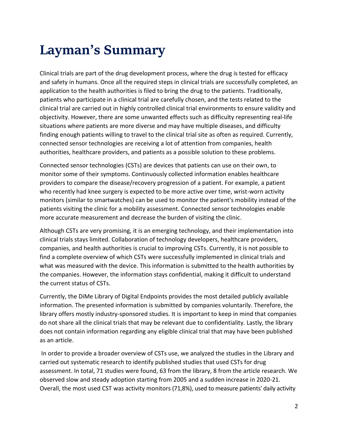# <span id="page-3-0"></span>**Layman's Summary**

Clinical trials are part of the drug development process, where the drug is tested for efficacy and safety in humans. Once all the required steps in clinical trials are successfully completed, an application to the health authorities is filed to bring the drug to the patients. Traditionally, patients who participate in a clinical trial are carefully chosen, and the tests related to the clinical trial are carried out in highly controlled clinical trial environments to ensure validity and objectivity. However, there are some unwanted effects such as difficulty representing real-life situations where patients are more diverse and may have multiple diseases, and difficulty finding enough patients willing to travel to the clinical trial site as often as required. Currently, connected sensor technologies are receiving a lot of attention from companies, health authorities, healthcare providers, and patients as a possible solution to these problems.

Connected sensor technologies (CSTs) are devices that patients can use on their own, to monitor some of their symptoms. Continuously collected information enables healthcare providers to compare the disease/recovery progression of a patient. For example, a patient who recently had knee surgery is expected to be more active over time, wrist-worn activity monitors (similar to smartwatches) can be used to monitor the patient's mobility instead of the patients visiting the clinic for a mobility assessment. Connected sensor technologies enable more accurate measurement and decrease the burden of visiting the clinic.

Although CSTs are very promising, it is an emerging technology, and their implementation into clinical trials stays limited. Collaboration of technology developers, healthcare providers, companies, and health authorities is crucial to improving CSTs. Currently, it is not possible to find a complete overview of which CSTs were successfully implemented in clinical trials and what was measured with the device. This information is submitted to the health authorities by the companies. However, the information stays confidential, making it difficult to understand the current status of CSTs.

Currently, the DiMe Library of Digital Endpoints provides the most detailed publicly available information. The presented information is submitted by companies voluntarily. Therefore, the library offers mostly industry-sponsored studies. It is important to keep in mind that companies do not share all the clinical trials that may be relevant due to confidentiality. Lastly, the library does not contain information regarding any eligible clinical trial that may have been published as an article.

In order to provide a broader overview of CSTs use, we analyzed the studies in the Library and carried out systematic research to identify published studies that used CSTs for drug assessment. In total, 71 studies were found, 63 from the library, 8 from the article research. We observed slow and steady adoption starting from 2005 and a sudden increase in 2020-21. Overall, the most used CST was activity monitors (71,8%), used to measure patients' daily activity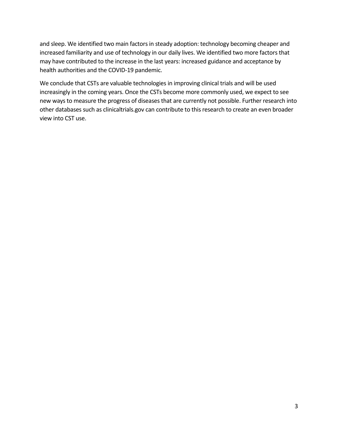and sleep. We identified two main factors in steady adoption: technology becoming cheaper and increased familiarity and use of technology in our daily lives. We identified two more factors that may have contributed to the increase in the last years: increased guidance and acceptance by health authorities and the COVID-19 pandemic.

We conclude that CSTs are valuable technologies in improving clinical trials and will be used increasingly in the coming years. Once the CSTs become more commonly used, we expect to see new ways to measure the progress of diseases that are currently not possible. Further research into other databases such as clinicaltrials.gov can contribute to this research to create an even broader view into CST use.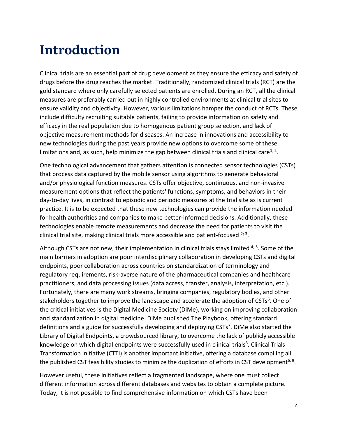### <span id="page-5-0"></span>**Introduction**

Clinical trials are an essential part of drug development as they ensure the efficacy and safety of drugs before the drug reaches the market. Traditionally, randomized clinical trials (RCT) are the gold standard where only carefully selected patients are enrolled. During an RCT, all the clinical measures are preferably carried out in highly controlled environments at clinical trial sites to ensure validity and objectivity. However, various limitations hamper the conduct of RCTs. These include difficulty recruiting suitable patients, failing to provide information on safety and efficacy in the real population due to homogenous patient group selection, and lack of objective measurement methods for diseases. An increase in innovations and accessibility to new technologies during the past years provide new options to overcome some of these limitations and, as such, help minimize the gap between clinical trials and clinical care<sup>1; 2</sup>.

One technological advancement that gathers attention is connected sensor technologies (CSTs) that process data captured by the mobile sensor using algorithms to generate behavioral and/or physiological function measures. CSTs offer objective, continuous, and non-invasive measurement options that reflect the patients' functions, symptoms, and behaviors in their day-to-day lives, in contrast to episodic and periodic measures at the trial site as is current practice. It is to be expected that these new technologies can provide the information needed for health authorities and companies to make better-informed decisions. Additionally, these technologies enable remote measurements and decrease the need for patients to visit the clinical trial site, making clinical trials more accessible and patient-focused  $2,3$ .

Although CSTs are not new, their implementation in clinical trials stays limited <sup>4; 5</sup>. Some of the main barriers in adoption are poor interdisciplinary collaboration in developing CSTs and digital endpoints, poor collaboration across countries on standardization of terminology and regulatory requirements, risk-averse nature of the pharmaceutical companies and healthcare practitioners, and data processing issues (data access, transfer, analysis, interpretation, etc.). Fortunately, there are many work streams, bringing companies, regulatory bodies, and other stakeholders together to improve the landscape and accelerate the adoption of CSTs<sup>6</sup>. One of the critical initiatives is the Digital Medicine Society (DiMe), working on improving collaboration and standardization in digital medicine. DiMe published The Playbook, offering standard definitions and a guide for successfully developing and deploying CSTs<sup>7</sup>. DiMe also started the Library of Digital Endpoints, a crowdsourced library, to overcome the lack of publicly accessible knowledge on which digital endpoints were successfully used in clinical trials<sup>8</sup>. Clinical Trials Transformation Initiative (CTTI) is another important initiative, offering a database compiling all the published CST feasibility studies to minimize the duplication of efforts in CST development<sup>6; 9</sup>.

However useful, these initiatives reflect a fragmented landscape, where one must collect different information across different databases and websites to obtain a complete picture. Today, it is not possible to find comprehensive information on which CSTs have been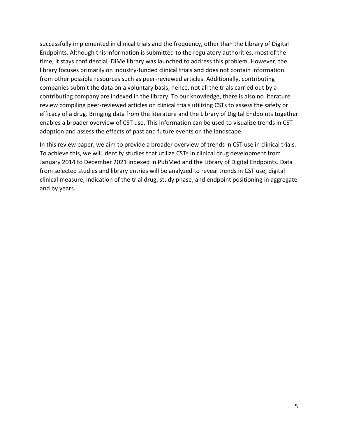successfully implemented in clinical trials and the frequency, other than the Library of Digital Endpoints. Although this information is submitted to the regulatory authorities, most of the time, it stays confidential. DiMe library was launched to address this problem. However, the library focuses primarily on industry-funded clinical trials and does not contain information from other possible resources such as peer-reviewed articles. Additionally, contributing companies submit the data on a voluntary basis; hence, not all the trials carried out by a contributing company are indexed in the library. To our knowledge, there is also no literature review compiling peer-reviewed articles on clinical trials utilizing CSTs to assess the safety or efficacy of a drug. Bringing data from the literature and the Library of Digital Endpoints together enables a broader overview of CST use. This information can be used to visualize trends in CST adoption and assess the effects of past and future events on the landscape.

In this review paper, we aim to provide a broader overview of trends in CST use in clinical trials. To achieve this, we will identify studies that utilize CSTs in clinical drug development from January 2014 to December 2021 indexed in PubMed and the Library of Digital Endpoints. Data from selected studies and library entries will be analyzed to reveal trends in CST use, digital clinical measure, indication of the trial drug, study phase, and endpoint positioning in aggregate and by years.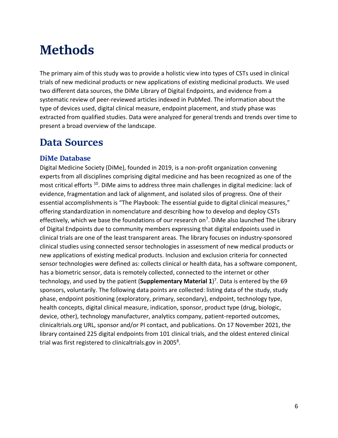# <span id="page-7-0"></span>**Methods**

The primary aim of this study was to provide a holistic view into types of CSTs used in clinical trials of new medicinal products or new applications of existing medicinal products. We used two different data sources, the DiMe Library of Digital Endpoints, and evidence from a systematic review of peer-reviewed articles indexed in PubMed. The information about the type of devices used, digital clinical measure, endpoint placement, and study phase was extracted from qualified studies. Data were analyzed for general trends and trends over time to present a broad overview of the landscape.

#### <span id="page-7-1"></span>**Data Sources**

#### <span id="page-7-2"></span>**DiMe Database**

Digital Medicine Society (DiMe), founded in 2019, is a non-profit organization convening experts from all disciplines comprising digital medicine and has been recognized as one of the most critical efforts <sup>10</sup>. DiMe aims to address three main challenges in digital medicine: lack of evidence, fragmentation and lack of alignment, and isolated silos of progress. One of their essential accomplishments is "The Playbook: The essential guide to digital clinical measures," offering standardization in nomenclature and describing how to develop and deploy CSTs effectively, which we base the foundations of our research on<sup>7</sup>. DiMe also launched The Library of Digital Endpoints due to community members expressing that digital endpoints used in clinical trials are one of the least transparent areas. The library focuses on industry-sponsored clinical studies using connected sensor technologies in assessment of new medical products or new applications of existing medical products. Inclusion and exclusion criteria for connected sensor technologies were defined as: collects clinical or health data, has a software component, has a biometric sensor, data is remotely collected, connected to the internet or other technology, and used by the patient (**Supplementary Material 1**) 7 . Data is entered by the 69 sponsors, voluntarily. The following data points are collected: listing data of the study, study phase, endpoint positioning (exploratory, primary, secondary), endpoint, technology type, health concepts, digital clinical measure, indication, sponsor, product type (drug, biologic, device, other), technology manufacturer, analytics company, patient-reported outcomes, clinicaltrials.org URL, sponsor and/or PI contact, and publications. On 17 November 2021, the library contained 225 digital endpoints from 101 clinical trials, and the oldest entered clinical trial was first registered to clinicaltrials.gov in 2005 $^8$ .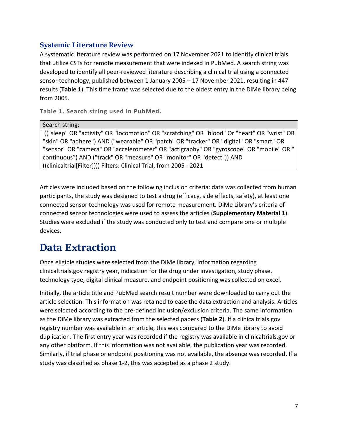#### <span id="page-8-0"></span>**Systemic Literature Review**

A systematic literature review was performed on 17 November 2021 to identify clinical trials that utilize CSTs for remote measurement that were indexed in PubMed. A search string was developed to identify all peer-reviewed literature describing a clinical trial using a connected sensor technology, published between 1 January 2005 – 17 November 2021, resulting in 447 results (**Table 1**). This time frame was selected due to the oldest entry in the DiMe library being from 2005.

**Table 1. Search string used in PubMed.**

Search string:

(("sleep" OR "activity" OR "locomotion" OR "scratching" OR "blood" Or "heart" OR "wrist" OR "skin" OR "adhere") AND ("wearable" OR "patch" OR "tracker" OR "digital" OR "smart" OR "sensor" OR "camera" OR "accelerometer" OR "actigraphy" OR "gyroscope" OR "mobile" OR " continuous") AND ("track" OR "measure" OR "monitor" OR "detect")) AND ((clinicaltrial[Filter]))) Filters: Clinical Trial, from 2005 - 2021

Articles were included based on the following inclusion criteria: data was collected from human participants, the study was designed to test a drug (efficacy, side effects, safety), at least one connected sensor technology was used for remote measurement. DiMe Library's criteria of connected sensor technologies were used to assess the articles (**Supplementary Material 1**). Studies were excluded if the study was conducted only to test and compare one or multiple devices.

#### <span id="page-8-1"></span>**Data Extraction**

Once eligible studies were selected from the DiMe library, information regarding clinicaltrials.gov registry year, indication for the drug under investigation, study phase, technology type, digital clinical measure, and endpoint positioning was collected on excel.

Initially, the article title and PubMed search result number were downloaded to carry out the article selection. This information was retained to ease the data extraction and analysis. Articles were selected according to the pre-defined inclusion/exclusion criteria. The same information as the DiMe library was extracted from the selected papers (**Table 2**). If a clinicaltrials.gov registry number was available in an article, this was compared to the DiMe library to avoid duplication. The first entry year was recorded if the registry was available in clinicaltrials.gov or any other platform. If this information was not available, the publication year was recorded. Similarly, if trial phase or endpoint positioning was not available, the absence was recorded. If a study was classified as phase 1-2, this was accepted as a phase 2 study.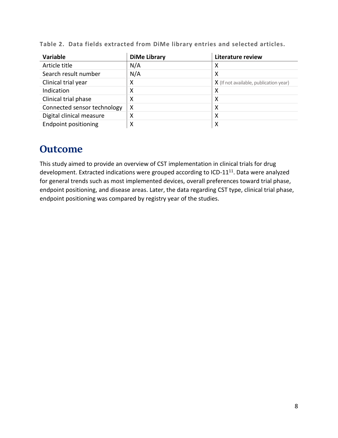| <b>Variable</b>             | <b>DiMe Library</b>       | Literature review                      |
|-----------------------------|---------------------------|----------------------------------------|
| Article title               | N/A                       | х                                      |
| Search result number        | N/A                       | $\boldsymbol{\mathsf{X}}$              |
| Clinical trial year         | х                         | X (If not available, publication year) |
| Indication                  | X                         | X                                      |
| Clinical trial phase        | X                         | X                                      |
| Connected sensor technology | $\boldsymbol{\mathsf{X}}$ | X                                      |
| Digital clinical measure    | X                         | х                                      |
| <b>Endpoint positioning</b> | $\boldsymbol{\mathsf{X}}$ | Х                                      |

**Table 2. Data fields extracted from DiMe library entries and selected articles.**

#### <span id="page-9-0"></span>**Outcome**

This study aimed to provide an overview of CST implementation in clinical trials for drug development. Extracted indications were grouped according to ICD-11<sup>11</sup>. Data were analyzed for general trends such as most implemented devices, overall preferences toward trial phase, endpoint positioning, and disease areas. Later, the data regarding CST type, clinical trial phase, endpoint positioning was compared by registry year of the studies.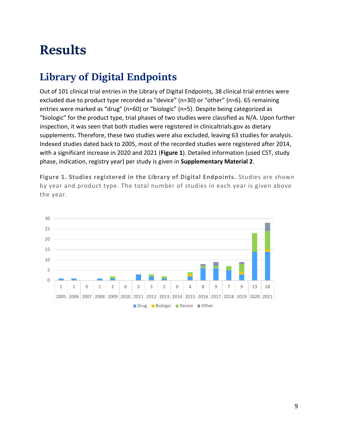## <span id="page-10-0"></span>**Results**

### <span id="page-10-1"></span>**Library of Digital Endpoints**

Out of 101 clinical trial entries in the Library of Digital Endpoints, 38 clinical trial entries were excluded due to product type recorded as "device" (n=30) or "other" (n=6). 65 remaining entries were marked as "drug" (n=60) or "biologic" (n=5). Despite being categorized as "biologic" for the product type, trial phases of two studies were classified as N/A. Upon further inspection, it was seen that both studies were registered in clinicaltrials.gov as dietary supplements. Therefore, these two studies were also excluded, leaving 63 studies for analysis. Indexed studies dated back to 2005, most of the recorded studies were registered after 2014, with a significant increase in 2020 and 2021 (**Figure 1**). Detailed information (used CST, study phase, indication, registry year) per study is given in **Supplementary Material 2**.

**Figure 1. Studies registered in the Library of Digital Endpoints.** Studies are shown by year and product type. The total number of studies in each year is given above the year.

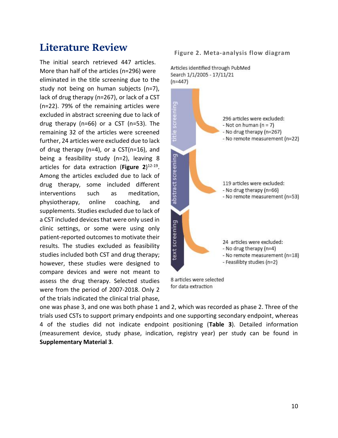#### <span id="page-11-0"></span>**Literature Review**

The initial search retrieved 447 articles. More than half of the articles (n=296) were eliminated in the title screening due to the study not being on human subjects (n=7), lack of drug therapy (n=267), or lack of a CST (n=22). 79% of the remaining articles were excluded in abstract screening due to lack of drug therapy (n=66) or a CST (n=53). The remaining 32 of the articles were screened further, 24 articles were excluded due to lack of drug therapy (n=4), or a CST(n=16), and being a feasibility study (n=2), leaving 8 articles for data extraction (**Figure 2**) 12-19 . Among the articles excluded due to lack of drug therapy, some included different interventions such as meditation, physiotherapy, online coaching, and supplements. Studies excluded due to lack of a CST included devices that were only used in clinic settings, or some were using only patient-reported outcomes to motivate their results. The studies excluded as feasibility studies included both CST and drug therapy; however, these studies were designed to compare devices and were not meant to assess the drug therapy. Selected studies were from the period of 2007-2018. Only 2 of the trials indicated the clinical trial phase,

Articles identified through PubMed Search 1/1/2005 - 17/11/21  $(n=447)$ title screening 296 articles were excluded: - Not on human  $(n = 7)$ - No drug therapy (n=267) - No remote measurement (n=22) abstract screening 119 articles were excluded: - No drug therapy (n=66) - No remote measurement (n=53) text screening 24 articles were excluded: - No drug therapy (n=4) - No remote measurement (n=18) - Feasilibty studies (n=2) 8 articles were selected

for data extraction

one was phase 3, and one was both phase 1 and 2, which was recorded as phase 2. Three of the trials used CSTs to support primary endpoints and one supporting secondary endpoint, whereas 4 of the studies did not indicate endpoint positioning (**Table 3**). Detailed information (measurement device, study phase, indication, registry year) per study can be found in **Supplementary Material 3**.

#### **Figure 2. Meta-analysis flow diagram**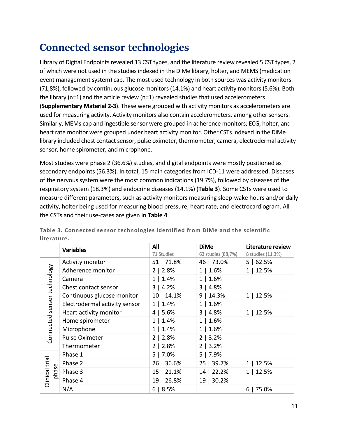### <span id="page-12-0"></span>**Connected sensor technologies**

Library of Digital Endpoints revealed 13 CST types, and the literature review revealed 5 CST types, 2 of which were not used in the studies indexed in the DiMe library, holter, and MEMS (medication event management system) cap. The most used technology in both sources was activity monitors (71,8%), followed by continuous glucose monitors (14.1%) and heart activity monitors (5.6%). Both the library (n=1) and the article review (n=1) revealed studies that used accelerometers (**Supplementary Material 2-3**). These were grouped with activity monitors as accelerometers are used for measuring activity. Activity monitors also contain accelerometers, among other sensors. Similarly, MEMs cap and ingestible sensor were grouped in adherence monitors; ECG, holter, and heart rate monitor were grouped under heart activity monitor. Other CSTs indexed in the DiMe library included chest contact sensor, pulse oximeter, thermometer, camera, electrodermal activity sensor, home spirometer, and microphone.

Most studies were phase 2 (36.6%) studies, and digital endpoints were mostly positioned as secondary endpoints (56.3%). In total, 15 main categories from ICD-11 were addressed. Diseases of the nervous system were the most common indications (19.7%), followed by diseases of the respiratory system (18.3%) and endocrine diseases (14.1%) (**Table 3**). Some CSTs were used to measure different parameters, such as activity monitors measuring sleep-wake hours and/or daily activity, holter being used for measuring blood pressure, heart rate, and electrocardiogram. All the CSTs and their use-cases are given in **Table 4**.

|                             | <b>Variables</b>              | All        | <b>DiMe</b>        | Literature review |
|-----------------------------|-------------------------------|------------|--------------------|-------------------|
|                             |                               | 71 Studies | 63 studies (88,7%) | 8 studies (11.3%) |
|                             | Activity monitor              | 51   71.8% | 46   73.0%         | 5   62.5%         |
|                             | Adherence monitor             | 2   2.8%   | 1   1.6%           | 1   12.5%         |
|                             | Camera                        | 1   1.4%   | 1   1.6%           |                   |
| Connected sensor technology | Chest contact sensor          | 3   4.2%   | 3   4.8%           |                   |
|                             | Continuous glucose monitor    | 10   14.1% | 9 14.3%            | 1   12.5%         |
|                             | Electrodermal activity sensor | 1   1.4%   | 1   1.6%           |                   |
|                             | Heart activity monitor        | 4   5.6%   | 3   4.8%           | 1   12.5%         |
|                             | Home spirometer               | 1   1.4%   | 1   1.6%           |                   |
|                             | Microphone                    | 1   1.4%   | 1   1.6%           |                   |
|                             | Pulse Oximeter                | 2   2.8%   | 2   3.2%           |                   |
|                             | Thermometer                   | 2   2.8%   | 2   3.2%           |                   |
|                             | Phase 1                       | $5$   7.0% | $5$   7.9%         |                   |
|                             | Phase 2                       | 26   36.6% | 25   39.7%         | 1   12.5%         |
| phase                       | Phase 3                       | 15   21.1% | 14   22.2%         | 1   12.5%         |
| Clinical trial              | Phase 4                       | 19   26.8% | 19   30.2%         |                   |
|                             | N/A                           | 6   8.5%   |                    | $6$   75.0%       |

**Table 3. Connected sensor technologies identified from DiMe and the scientific literature.**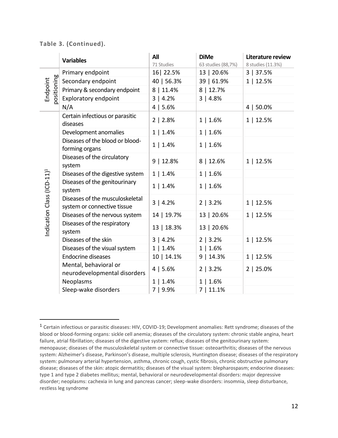|  |  |  |  |  |  |  |  |  | Table 3. (Continued). |  |
|--|--|--|--|--|--|--|--|--|-----------------------|--|
|--|--|--|--|--|--|--|--|--|-----------------------|--|

|                                        | <b>Variables</b>                                               | All<br>71 Studies | <b>DiMe</b><br>63 studies (88,7%) | Literature review<br>8 studies (11.3%) |
|----------------------------------------|----------------------------------------------------------------|-------------------|-----------------------------------|----------------------------------------|
|                                        | Primary endpoint                                               | 16 22.5%          | 13   20.6%                        | 3   37.5%                              |
| positioning                            | Secondary endpoint                                             | 40   56.3%        | 39   61.9%                        | 1   12.5%                              |
| Endpoint                               | Primary & secondary endpoint                                   | 8   11.4%         | 8   12.7%                         |                                        |
|                                        | <b>Exploratory endpoint</b>                                    | 3   4.2%          | 3   4.8%                          |                                        |
|                                        | N/A                                                            | 4   5.6%          |                                   | 4   50.0%                              |
|                                        | Certain infectious or parasitic<br>diseases                    | 2   2.8%          | 1   1.6%                          | 1   12.5%                              |
|                                        | Development anomalies                                          | 1   1.4%          | 1   1.6%                          |                                        |
| Indication Class (ICD-11) <sup>1</sup> | Diseases of the blood or blood-<br>forming organs              | 1   1.4%          | 1   1.6%                          |                                        |
|                                        | Diseases of the circulatory<br>system                          | 9   12.8%         | 8   12.6%                         | 1   12.5%                              |
|                                        | Diseases of the digestive system                               | 1   1.4%          | 1   1.6%                          |                                        |
|                                        | Diseases of the genitourinary<br>system                        | 1   1.4%          | 1   1.6%                          |                                        |
|                                        | Diseases of the musculoskeletal<br>system or connective tissue | 3   4.2%          | 2   3.2%                          | 1   12.5%                              |
|                                        | Diseases of the nervous system                                 | 14   19.7%        | 13   20.6%                        | 1   12.5%                              |
|                                        | Diseases of the respiratory<br>system                          | 13   18.3%        | 13   20.6%                        |                                        |
|                                        | Diseases of the skin                                           | 3   4.2%          | 2   3.2%                          | 1   12.5%                              |
|                                        | Diseases of the visual system                                  | 1   1.4%          | 1   1.6%                          |                                        |
|                                        | <b>Endocrine diseases</b>                                      | 10   14.1%        | 9   14.3%                         | 1   12.5%                              |
|                                        | Mental, behavioral or<br>neurodevelopmental disorders          | 4   5.6%          | 2   3.2%                          | 2   25.0%                              |
|                                        | Neoplasms                                                      | 1   1.4%          | 1   1.6%                          |                                        |
|                                        | Sleep-wake disorders                                           | 7   9.9%          | 7   11.1%                         |                                        |

<sup>1</sup> Certain infectious or parasitic diseases: HIV, COVID-19; Development anomalies: Rett syndrome; diseases of the blood or blood-forming organs: sickle cell anemia; diseases of the circulatory system: chronic stable angina, heart failure, atrial fibrillation; diseases of the digestive system: reflux; diseases of the genitourinary system: menopause; diseases of the musculoskeletal system or connective tissue: osteoarthritis; diseases of the nervous system: Alzheimer's disease, Parkinson's disease, multiple sclerosis, Huntington disease; diseases of the respiratory system: pulmonary arterial hypertension, asthma, chronic cough, cystic fibrosis, chronic obstructive pulmonary disease; diseases of the skin: atopic dermatitis; diseases of the visual system: blepharospasm; endocrine diseases: type 1 and type 2 diabetes mellitus; mental, behavioral or neurodevelopmental disorders: major depressive disorder; neoplasms: cachexia in lung and pancreas cancer; sleep-wake disorders: insomnia, sleep disturbance, restless leg syndrome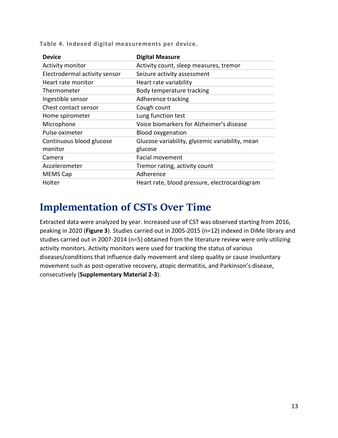| <b>Device</b>                 | <b>Digital Measure</b>                          |
|-------------------------------|-------------------------------------------------|
| Activity monitor              | Activity count, sleep measures, tremor          |
| Electrodermal activity sensor | Seizure activity assessment                     |
| Heart rate monitor            | Heart rate variability                          |
| Thermometer                   | Body temperature tracking                       |
| Ingestible sensor             | Adherence tracking                              |
| Chest contact sensor          | Cough count                                     |
| Home spirometer               | Lung function test                              |
| Microphone                    | Voice biomarkers for Alzheimer's disease        |
| Pulse oximeter                | <b>Blood oxygenation</b>                        |
| Continuous blood glucose      | Glucose variability, glycemic variability, mean |
| monitor                       | glucose                                         |
| Camera                        | <b>Facial movement</b>                          |
| Accelerometer                 | Tremor rating, activity count                   |
| <b>MEMS Cap</b>               | Adherence                                       |
| Holter                        | Heart rate, blood pressure, electrocardiogram   |

**Table 4. Indexed digital measurements per device.**

#### <span id="page-14-0"></span>**Implementation of CSTs Over Time**

Extracted data were analyzed by year. Increased use of CST was observed starting from 2016, peaking in 2020 (**Figure 3**). Studies carried out in 2005-2015 (n=12) indexed in DiMe library and studies carried out in 2007-2014 (n=5) obtained from the literature review were only utilizing activity monitors. Activity monitors were used for tracking the status of various diseases/conditions that influence daily movement and sleep quality or cause involuntary movement such as post-operative recovery, atopic dermatitis, and Parkinson's disease, consecutively (**Supplementary Material 2-3**).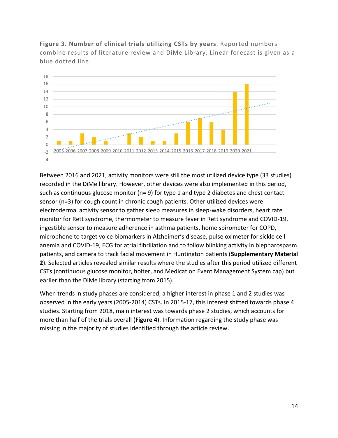**Figure 3. Number of clinical trials utilizing CSTs by years**. Reported numbers combine results of literature review and DiMe Library. Linear forecast is given as a blue dotted line.



Between 2016 and 2021, activity monitors were still the most utilized device type (33 studies) recorded in the DiMe library. However, other devices were also implemented in this period, such as continuous glucose monitor (n= 9) for type 1 and type 2 diabetes and chest contact sensor (n=3) for cough count in chronic cough patients. Other utilized devices were electrodermal activity sensor to gather sleep measures in sleep-wake disorders, heart rate monitor for Rett syndrome, thermometer to measure fever in Rett syndrome and COVID-19, ingestible sensor to measure adherence in asthma patients, home spirometer for COPD, microphone to target voice biomarkers in Alzheimer's disease, pulse oximeter for sickle cell anemia and COVID-19, ECG for atrial fibrillation and to follow blinking activity in blepharospasm patients, and camera to track facial movement in Huntington patients (**Supplementary Material 2**). Selected articles revealed similar results where the studies after this period utilized different CSTs (continuous glucose monitor, holter, and Medication Event Management System cap) but earlier than the DiMe library (starting from 2015).

When trends in study phases are considered, a higher interest in phase 1 and 2 studies was observed in the early years (2005-2014) CSTs. In 2015-17, this interest shifted towards phase 4 studies. Starting from 2018, main interest was towards phase 2 studies, which accounts for more than half of the trials overall (**Figure 4**). Information regarding the study phase was missing in the majority of studies identified through the article review.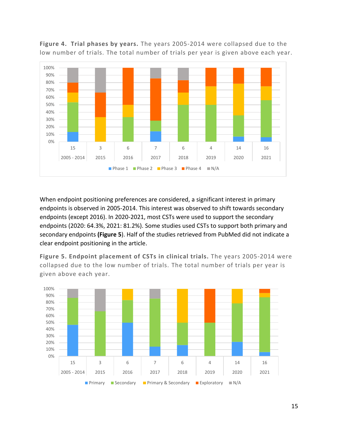

**Figure 4. Trial phases by years.** The years 2005-2014 were collapsed due to the low number of trials. The total number of trials per year is given above each year.

When endpoint positioning preferences are considered, a significant interest in primary endpoints is observed in 2005-2014. This interest was observed to shift towards secondary endpoints (except 2016). In 2020-2021, most CSTs were used to support the secondary endpoints (2020: 64.3%, 2021: 81.2%). Some studies used CSTs to support both primary and secondary endpoints **(Figure 5**). Half of the studies retrieved from PubMed did not indicate a clear endpoint positioning in the article.

**Figure 5. Endpoint placement of CSTs in clinical trials.** The years 2005-2014 were collapsed due to the low number of trials. The total number of trials per year is given above each year.

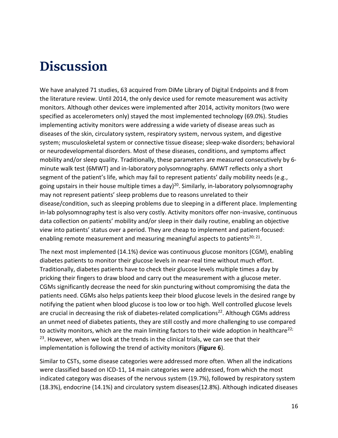### <span id="page-17-0"></span>**Discussion**

We have analyzed 71 studies, 63 acquired from DiMe Library of Digital Endpoints and 8 from the literature review. Until 2014, the only device used for remote measurement was activity monitors. Although other devices were implemented after 2014, activity monitors (two were specified as accelerometers only) stayed the most implemented technology (69.0%). Studies implementing activity monitors were addressing a wide variety of disease areas such as diseases of the skin, circulatory system, respiratory system, nervous system, and digestive system; musculoskeletal system or connective tissue disease; sleep-wake disorders; behavioral or neurodevelopmental disorders. Most of these diseases, conditions, and symptoms affect mobility and/or sleep quality. Traditionally, these parameters are measured consecutively by 6 minute walk test (6MWT) and in-laboratory polysomnography. 6MWT reflects only a short segment of the patient's life, which may fail to represent patients' daily mobility needs (e.g., going upstairs in their house multiple times a day)<sup>20</sup>. Similarly, in-laboratory polysomnography may not represent patients' sleep problems due to reasons unrelated to their disease/condition, such as sleeping problems due to sleeping in a different place. Implementing in-lab polysomnography test is also very costly. Activity monitors offer non-invasive, continuous data collection on patients' mobility and/or sleep in their daily routine, enabling an objective view into patients' status over a period. They are cheap to implement and patient-focused: enabling remote measurement and measuring meaningful aspects to patients<sup>20; 21</sup>.

The next most implemented (14.1%) device was continuous glucose monitors (CGM), enabling diabetes patients to monitor their glucose levels in near-real time without much effort. Traditionally, diabetes patients have to check their glucose levels multiple times a day by pricking their fingers to draw blood and carry out the measurement with a glucose meter. CGMs significantly decrease the need for skin puncturing without compromising the data the patients need. CGMs also helps patients keep their blood glucose levels in the desired range by notifying the patient when blood glucose is too low or too high. Well controlled glucose levels are crucial in decreasing the risk of diabetes-related complications<sup>22</sup>. Although CGMs address an unmet need of diabetes patients, they are still costly and more challenging to use compared to activity monitors, which are the main limiting factors to their wide adoption in healthcare<sup>22;</sup> <sup>23</sup>. However, when we look at the trends in the clinical trials, we can see that their implementation is following the trend of activity monitors (**Figure 6**).

Similar to CSTs, some disease categories were addressed more often. When all the indications were classified based on ICD-11, 14 main categories were addressed, from which the most indicated category was diseases of the nervous system (19.7%), followed by respiratory system (18.3%), endocrine (14.1%) and circulatory system diseases(12.8%). Although indicated diseases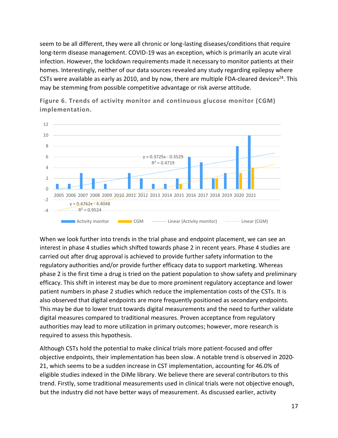seem to be all different, they were all chronic or long-lasting diseases/conditions that require long-term disease management. COVID-19 was an exception, which is primarily an acute viral infection. However, the lockdown requirements made it necessary to monitor patients at their homes. Interestingly, neither of our data sources revealed any study regarding epilepsy where CSTs were available as early as 2010, and by now, there are multiple FDA-cleared devices<sup>24</sup>. This may be stemming from possible competitive advantage or risk averse attitude.



**Figure 6. Trends of activity monitor and continuous glucose monitor (CGM) implementation.**

When we look further into trends in the trial phase and endpoint placement, we can see an interest in phase 4 studies which shifted towards phase 2 in recent years. Phase 4 studies are carried out after drug approval is achieved to provide further safety information to the regulatory authorities and/or provide further efficacy data to support marketing. Whereas phase 2 is the first time a drug is tried on the patient population to show safety and preliminary efficacy. This shift in interest may be due to more prominent regulatory acceptance and lower patient numbers in phase 2 studies which reduce the implementation costs of the CSTs. It is also observed that digital endpoints are more frequently positioned as secondary endpoints. This may be due to lower trust towards digital measurements and the need to further validate digital measures compared to traditional measures. Proven acceptance from regulatory authorities may lead to more utilization in primary outcomes; however, more research is required to assess this hypothesis.

Although CSTs hold the potential to make clinical trials more patient-focused and offer objective endpoints, their implementation has been slow. A notable trend is observed in 2020- 21, which seems to be a sudden increase in CST implementation, accounting for 46.0% of eligible studies indexed in the DiMe library. We believe there are several contributors to this trend. Firstly, some traditional measurements used in clinical trials were not objective enough, but the industry did not have better ways of measurement. As discussed earlier, activity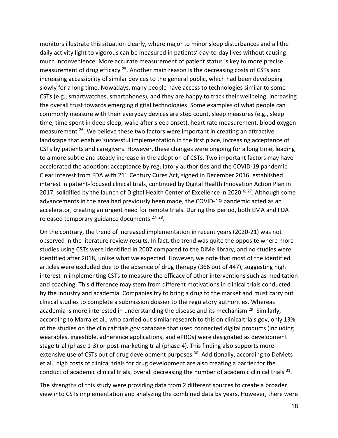monitors illustrate this situation clearly, where major to minor sleep disturbances and all the daily activity light to vigorous can be measured in patients' day-to-day lives without causing much inconvenience. More accurate measurement of patient status is key to more precise measurement of drug efficacy <sup>25</sup>. Another main reason is the decreasing costs of CSTs and increasing accessibility of similar devices to the general public, which had been developing slowly for a long time. Nowadays, many people have access to technologies similar to some CSTs (e.g., smartwatches, smartphones), and they are happy to track their wellbeing, increasing the overall trust towards emerging digital technologies. Some examples of what people can commonly measure with their everyday devices are step count, sleep measures (e.g., sleep time, time spent in deep sleep, wake after sleep onset), heart rate measurement, blood oxygen measurement <sup>26</sup>. We believe these two factors were important in creating an attractive landscape that enables successful implementation in the first place, increasing acceptance of CSTs by patients and caregivers. However, these changes were ongoing for a long time, leading to a more subtle and steady increase in the adoption of CSTs. Two important factors may have accelerated the adoption: acceptance by regulatory authorities and the COVID-19 pandemic. Clear interest from FDA with  $21^{st}$  Century Cures Act, signed in December 2016, established interest in patient-focused clinical trials, continued by Digital Health Innovation Action Plan in 2017, solidified by the launch of Digital Health Center of Excellence in 2020<sup>6; 27</sup>. Although some advancements in the area had previously been made, the COVID-19 pandemic acted as an accelerator, creating an urgent need for remote trials. During this period, both EMA and FDA released temporary guidance documents <sup>27; 28</sup>.

On the contrary, the trend of increased implementation in recent years (2020-21) was not observed in the literature review results. In fact, the trend was quite the opposite where more studies using CSTs were identified in 2007 compared to the DiMe library, and no studies were identified after 2018, unlike what we expected. However, we note that most of the identified articles were excluded due to the absence of drug therapy (366 out of 447), suggesting high interest in implementing CSTs to measure the efficacy of other interventions such as meditation and coaching. This difference may stem from different motivations in clinical trials conducted by the industry and academia. Companies try to bring a drug to the market and must carry out clinical studies to complete a submission dossier to the regulatory authorities. Whereas academia is more interested in understanding the disease and its mechanism <sup>29</sup>. Similarly, according to Marra et al., who carried out similar research to this on clinicaltrials.gov, only 13% of the studies on the clinicaltrials.gov database that used connected digital products (including wearables, ingestible, adherence applications, and ePROs) were designated as development stage trial (phase 1-3) or post-marketing trial (phase 4). This finding also supports more extensive use of CSTs out of drug development purposes <sup>30</sup>. Additionally, according to DeMets et al., high costs of clinical trials for drug development are also creating a barrier for the conduct of academic clinical trials, overall decreasing the number of academic clinical trials  $^{31}$ .

The strengths of this study were providing data from 2 different sources to create a broader view into CSTs implementation and analyzing the combined data by years. However, there were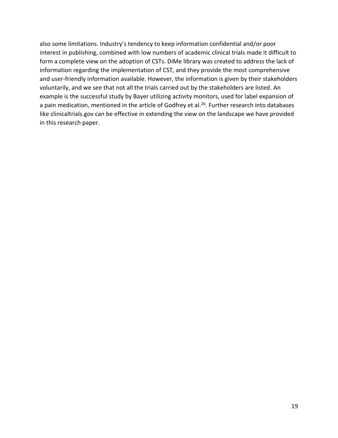also some limitations. Industry's tendency to keep information confidential and/or poor interest in publishing, combined with low numbers of academic clinical trials made it difficult to form a complete view on the adoption of CSTs. DiMe library was created to address the lack of information regarding the implementation of CST, and they provide the most comprehensive and user-friendly information available. However, the information is given by their stakeholders voluntarily, and we see that not all the trials carried out by the stakeholders are listed. An example is the successful study by Bayer utilizing activity monitors, used for label expansion of a pain medication, mentioned in the article of Godfrey et al. <sup>26</sup>. Further research into databases like clinicaltrials.gov can be effective in extending the view on the landscape we have provided in this research paper.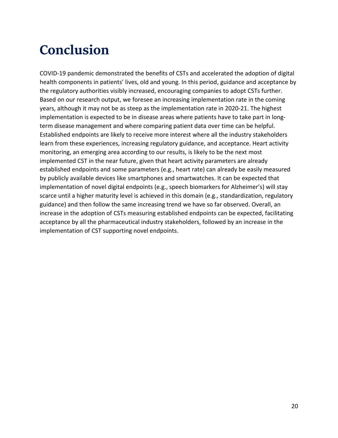# <span id="page-21-0"></span>**Conclusion**

COVID-19 pandemic demonstrated the benefits of CSTs and accelerated the adoption of digital health components in patients' lives, old and young. In this period, guidance and acceptance by the regulatory authorities visibly increased, encouraging companies to adopt CSTs further. Based on our research output, we foresee an increasing implementation rate in the coming years, although it may not be as steep as the implementation rate in 2020-21. The highest implementation is expected to be in disease areas where patients have to take part in longterm disease management and where comparing patient data over time can be helpful. Established endpoints are likely to receive more interest where all the industry stakeholders learn from these experiences, increasing regulatory guidance, and acceptance. Heart activity monitoring, an emerging area according to our results, is likely to be the next most implemented CST in the near future, given that heart activity parameters are already established endpoints and some parameters (e.g., heart rate) can already be easily measured by publicly available devices like smartphones and smartwatches. It can be expected that implementation of novel digital endpoints (e.g., speech biomarkers for Alzheimer's) will stay scarce until a higher maturity level is achieved in this domain (e.g., standardization, regulatory guidance) and then follow the same increasing trend we have so far observed. Overall, an increase in the adoption of CSTs measuring established endpoints can be expected, facilitating acceptance by all the pharmaceutical industry stakeholders, followed by an increase in the implementation of CST supporting novel endpoints.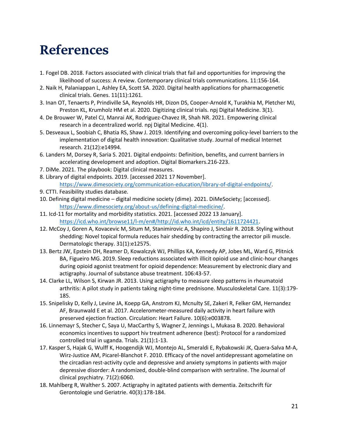### <span id="page-22-0"></span>**References**

- 1. Fogel DB. 2018. Factors associated with clinical trials that fail and opportunities for improving the likelihood of success: A review. Contemporary clinical trials communications. 11:156-164.
- 2. Naik H, Palaniappan L, Ashley EA, Scott SA. 2020. Digital health applications for pharmacogenetic clinical trials. Genes. 11(11):1261.
- 3. Inan OT, Tenaerts P, Prindiville SA, Reynolds HR, Dizon DS, Cooper-Arnold K, Turakhia M, Pletcher MJ, Preston KL, Krumholz HM et al. 2020. Digitizing clinical trials. npj Digital Medicine. 3(1).
- 4. De Brouwer W, Patel CJ, Manrai AK, Rodriguez-Chavez IR, Shah NR. 2021. Empowering clinical research in a decentralized world. npj Digital Medicine. 4(1).
- 5. Desveaux L, Soobiah C, Bhatia RS, Shaw J. 2019. Identifying and overcoming policy-level barriers to the implementation of digital health innovation: Qualitative study. Journal of medical Internet research. 21(12):e14994.
- 6. Landers M, Dorsey R, Saria S. 2021. Digital endpoints: Definition, benefits, and current barriers in accelerating development and adoption. Digital Biomarkers.216-223.
- 7. DiMe. 2021. The playbook: Digital clinical measures.
- 8. Library of digital endpoints. 2019. [accessed 2021 17 November]. [https://www.dimesociety.org/communication-education/library-of-digital-endpoints/.](https://www.dimesociety.org/communication-education/library-of-digital-endpoints/)
- 9. CTTI. Feasibility studies database.
- 10. Defining digital medicine digital medicine society (dime). 2021. DiMeSociety; [accessed]. [https://www.dimesociety.org/about-us/defining-digital-medicine/.](https://www.dimesociety.org/about-us/defining-digital-medicine/)
- 11. Icd-11 for mortality and morbidity statistics. 2021. [accessed 2022 13 January]. [https://icd.who.int/browse11/l-m/en#/http://id.who.int/icd/entity/1611724421.](https://icd.who.int/browse11/l-m/en#/http://id.who.int/icd/entity/1611724421)
- 12. McCoy J, Goren A, Kovacevic M, Situm M, Stanimirovic A, Shapiro J, Sinclair R. 2018. Styling without shedding: Novel topical formula reduces hair shedding by contracting the arrector pili muscle. Dermatologic therapy. 31(1):e12575.
- 13. Bertz JW, Epstein DH, Reamer D, Kowalczyk WJ, Phillips KA, Kennedy AP, Jobes ML, Ward G, Plitnick BA, Figueiro MG. 2019. Sleep reductions associated with illicit opioid use and clinic-hour changes during opioid agonist treatment for opioid dependence: Measurement by electronic diary and actigraphy. Journal of substance abuse treatment. 106:43-57.
- 14. Clarke LL, Wilson S, Kirwan JR. 2013. Using actigraphy to measure sleep patterns in rheumatoid arthritis: A pilot study in patients taking night‐time prednisone. Musculoskeletal Care. 11(3):179- 185.
- 15. Snipelisky D, Kelly J, Levine JA, Koepp GA, Anstrom KJ, Mcnulty SE, Zakeri R, Felker GM, Hernandez AF, Braunwald E et al. 2017. Accelerometer-measured daily activity in heart failure with preserved ejection fraction. Circulation: Heart Failure. 10(6):e003878.
- 16. Linnemayr S, Stecher C, Saya U, MacCarthy S, Wagner Z, Jennings L, Mukasa B. 2020. Behavioral economics incentives to support hiv treatment adherence (best): Protocol for a randomized controlled trial in uganda. Trials. 21(1):1-13.
- 17. Kasper S, Hajak G, Wulff K, Hoogendijk WJ, Montejo AL, Smeraldi E, Rybakowski JK, Quera-Salva M-A, Wirz-Justice AM, Picarel-Blanchot F. 2010. Efficacy of the novel antidepressant agomelatine on the circadian rest-activity cycle and depressive and anxiety symptoms in patients with major depressive disorder: A randomized, double-blind comparison with sertraline. The Journal of clinical psychiatry. 71(2):6060.
- 18. Mahlberg R, Walther S. 2007. Actigraphy in agitated patients with dementia. Zeitschrift für Gerontologie und Geriatrie. 40(3):178-184.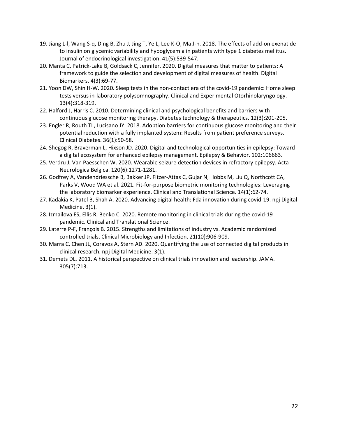- 19. Jiang L-l, Wang S-q, Ding B, Zhu J, Jing T, Ye L, Lee K-O, Ma J-h. 2018. The effects of add-on exenatide to insulin on glycemic variability and hypoglycemia in patients with type 1 diabetes mellitus. Journal of endocrinological investigation. 41(5):539-547.
- 20. Manta C, Patrick-Lake B, Goldsack C, Jennifer. 2020. Digital measures that matter to patients: A framework to guide the selection and development of digital measures of health. Digital Biomarkers. 4(3):69-77.
- 21. Yoon DW, Shin H-W. 2020. Sleep tests in the non-contact era of the covid-19 pandemic: Home sleep tests versus in-laboratory polysomnography. Clinical and Experimental Otorhinolaryngology. 13(4):318-319.
- 22. Halford J, Harris C. 2010. Determining clinical and psychological benefits and barriers with continuous glucose monitoring therapy. Diabetes technology & therapeutics. 12(3):201-205.
- 23. Engler R, Routh TL, Lucisano JY. 2018. Adoption barriers for continuous glucose monitoring and their potential reduction with a fully implanted system: Results from patient preference surveys. Clinical Diabetes. 36(1):50-58.
- 24. Shegog R, Braverman L, Hixson JD. 2020. Digital and technological opportunities in epilepsy: Toward a digital ecosystem for enhanced epilepsy management. Epilepsy & Behavior. 102:106663.
- 25. Verdru J, Van Paesschen W. 2020. Wearable seizure detection devices in refractory epilepsy. Acta Neurologica Belgica. 120(6):1271-1281.
- 26. Godfrey A, Vandendriessche B, Bakker JP, Fitzer‐Attas C, Gujar N, Hobbs M, Liu Q, Northcott CA, Parks V, Wood WA et al. 2021. Fit‐for‐purpose biometric monitoring technologies: Leveraging the laboratory biomarker experience. Clinical and Translational Science. 14(1):62-74.
- 27. Kadakia K, Patel B, Shah A. 2020. Advancing digital health: Fda innovation during covid-19. npj Digital Medicine. 3(1).
- 28. Izmailova ES, Ellis R, Benko C. 2020. Remote monitoring in clinical trials during the covid‐19 pandemic. Clinical and Translational Science.
- 29. Laterre P-F, François B. 2015. Strengths and limitations of industry vs. Academic randomized controlled trials. Clinical Microbiology and Infection. 21(10):906-909.
- 30. Marra C, Chen JL, Coravos A, Stern AD. 2020. Quantifying the use of connected digital products in clinical research. npj Digital Medicine. 3(1).
- 31. Demets DL. 2011. A historical perspective on clinical trials innovation and leadership. JAMA. 305(7):713.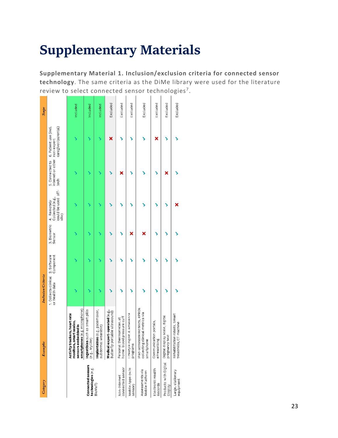# <span id="page-24-0"></span>**Supplementary Materials**

**Supplementary Material 1. Inclusion/exclusion criteria for connected sensor technology**. The same criteria as the DiMe library were used for the literature review to select connected sensor technologies<sup>7</sup>.

| Category                                | Examples                                                                                                             | <b>Inclusion Criteria</b>              |                                                    |                                                                |                                                         |                                              | $S\in \mathcal{P}^c$ |
|-----------------------------------------|----------------------------------------------------------------------------------------------------------------------|----------------------------------------|----------------------------------------------------|----------------------------------------------------------------|---------------------------------------------------------|----------------------------------------------|----------------------|
|                                         |                                                                                                                      | 1. Collects clinical<br>or health data | 3. Biometric<br>Sensor<br>2. Software<br>Component | could be used off-<br>Collected (e.g.,<br>4. Remotely<br>site) | internet or other non-expert<br>5. Connected to<br>tech | 6. Patient use (incl.<br>caregiver/parental) |                      |
|                                         | $smartphones$ $(e.g.$ microphone)<br>Activity trackers, heart rate<br>monitors, smart scales,<br>sensors embedded in |                                        |                                                    |                                                                |                                                         |                                              | Included             |
| Connected sensors<br>technologies (e.g. | Ingestibles such as smart pills<br>(e.g., MyCite)                                                                    |                                        |                                                    |                                                                |                                                         |                                              | Included             |
| BioMeT)                                 | Implantables (e.g., pacemaker,<br>subdermal wearable)                                                                |                                        |                                                    |                                                                | ↘                                                       | ↘                                            | Included             |
|                                         | expert-operated (e.g.,<br>Butterfly portable ultrasound)<br>Medical                                                  |                                        |                                                    |                                                                |                                                         | ×                                            | Excluded             |
| connected sensor<br>Non-internet        | lood pressure cuff<br>Personal thermometer, at<br>home b                                                             |                                        |                                                    |                                                                | ×                                                       |                                              | Excluded             |
| Mobile Apps (w/o<br>sensor)             | Lifestyle mgmt. & adherence<br>programs                                                                              |                                        | ×                                                  |                                                                |                                                         |                                              | Excluded             |
| Assessments via<br>Mobile Platform      | iPad-administered tests, ePROs<br>collecting clinical metrics via<br>smartphone                                      |                                        | ×                                                  |                                                                |                                                         |                                              | Excluded             |
| Electronic Health<br>Records            | Communication portals,<br>ePrescribing                                                                               |                                        |                                                    |                                                                |                                                         | ×                                            | Excluded             |
| Products with Digital<br>Display        | Digital display scale, digital<br>pregnancy test                                                                     |                                        |                                                    |                                                                | ×                                                       |                                              | Excluded             |
| Large, stationary<br>equipment          | Rehabilitation robots, Smart<br>treadmills, CT machine                                                               |                                        |                                                    |                                                                |                                                         |                                              | Excluded             |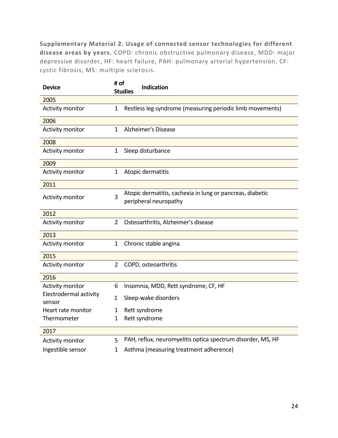**Supplementary Material 2. Usage of connected sensor technologies for different disease areas by years.** COPD: chronic obstructive pulmonary disease, MDD: major depressive disorder, HF: heart failure, PAH: pulmonary arterial hypertension, CF: cystic fibrosis, MS: multiple sclerosis.

| <b>Device</b>                    | # of<br><b>Studies</b> | <b>Indication</b>                                                                  |
|----------------------------------|------------------------|------------------------------------------------------------------------------------|
| 2005                             |                        |                                                                                    |
| Activity monitor                 | 1                      | Restless leg syndrome (measuring periodic limb movements)                          |
| 2006                             |                        |                                                                                    |
| Activity monitor                 | $\mathbf{1}$           | Alzheimer's Disease                                                                |
| 2008                             |                        |                                                                                    |
| Activity monitor                 | $\mathbf{1}$           | Sleep disturbance                                                                  |
| 2009                             |                        |                                                                                    |
| Activity monitor                 | $\mathbf{1}$           | Atopic dermatitis                                                                  |
| 2011                             |                        |                                                                                    |
| Activity monitor                 | 3                      | Atopic dermatitis, cachexia in lung or pancreas, diabetic<br>peripheral neuropathy |
| 2012                             |                        |                                                                                    |
| Activity monitor                 | $\overline{2}$         | Osteoarthritis, Alzheimer's disease                                                |
| 2013                             |                        |                                                                                    |
| Activity monitor                 | $\mathbf 1$            | Chronic stable angina                                                              |
| 2015                             |                        |                                                                                    |
| Activity monitor                 | $\overline{2}$         | COPD, osteoarthritis                                                               |
| 2016                             |                        |                                                                                    |
| Activity monitor                 | 6                      | Insomnia, MDD, Rett syndrome, CF, HF                                               |
| Electrodermal activity<br>sensor | $\mathbf 1$            | Sleep-wake disorders                                                               |
| Heart rate monitor               | $\mathbf 1$            | Rett syndrome                                                                      |
| Thermometer                      | 1                      | Rett syndrome                                                                      |
| 2017                             |                        |                                                                                    |
| Activity monitor                 | 5                      | PAH, reflux, neuromyelitis optica spectrum disorder, MS, HF                        |
| Ingestible sensor                | 1                      | Asthma (measuring treatment adherence)                                             |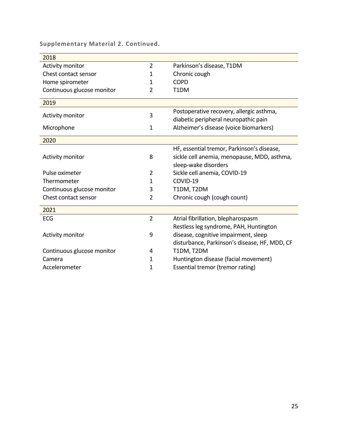| 2018                       |                |                                                                                                                   |
|----------------------------|----------------|-------------------------------------------------------------------------------------------------------------------|
| Activity monitor           | $\overline{2}$ | Parkinson's disease, T1DM                                                                                         |
| Chest contact sensor       | 1              | Chronic cough                                                                                                     |
| Home spirometer            | 1              | <b>COPD</b>                                                                                                       |
| Continuous glucose monitor | 2              | T <sub>1</sub> DM                                                                                                 |
| 2019                       |                |                                                                                                                   |
| Activity monitor           | 3              | Postoperative recovery, allergic asthma,<br>diabetic peripheral neuropathic pain                                  |
| Microphone                 | $\mathbf{1}$   | Alzheimer's disease (voice biomarkers)                                                                            |
| 2020                       |                |                                                                                                                   |
| Activity monitor           | 8              | HF, essential tremor, Parkinson's disease,<br>sickle cell anemia, menopause, MDD, asthma,<br>sleep-wake disorders |
| Pulse oximeter             | 2              | Sickle cell anemia, COVID-19                                                                                      |
| Thermometer                | 1              | COVID-19                                                                                                          |
| Continuous glucose monitor | 3              | T1DM, T2DM                                                                                                        |
| Chest contact sensor       | $\overline{2}$ | Chronic cough (cough count)                                                                                       |
| 2021                       |                |                                                                                                                   |
| <b>ECG</b>                 | $\overline{2}$ | Atrial fibrillation, blepharospasm                                                                                |
|                            |                | Restless leg syndrome, PAH, Huntington                                                                            |
| Activity monitor           | 9              | disease, cognitive impairment, sleep<br>disturbance, Parkinson's disease, HF, MDD, CF                             |
| Continuous glucose monitor | 4              | T1DM, T2DM                                                                                                        |
| Camera                     | 1              | Huntington disease (facial movement)                                                                              |
| Accelerometer              | 1              | Essential tremor (tremor rating)                                                                                  |
|                            |                |                                                                                                                   |

**Supplementary Material 2. Continued.**